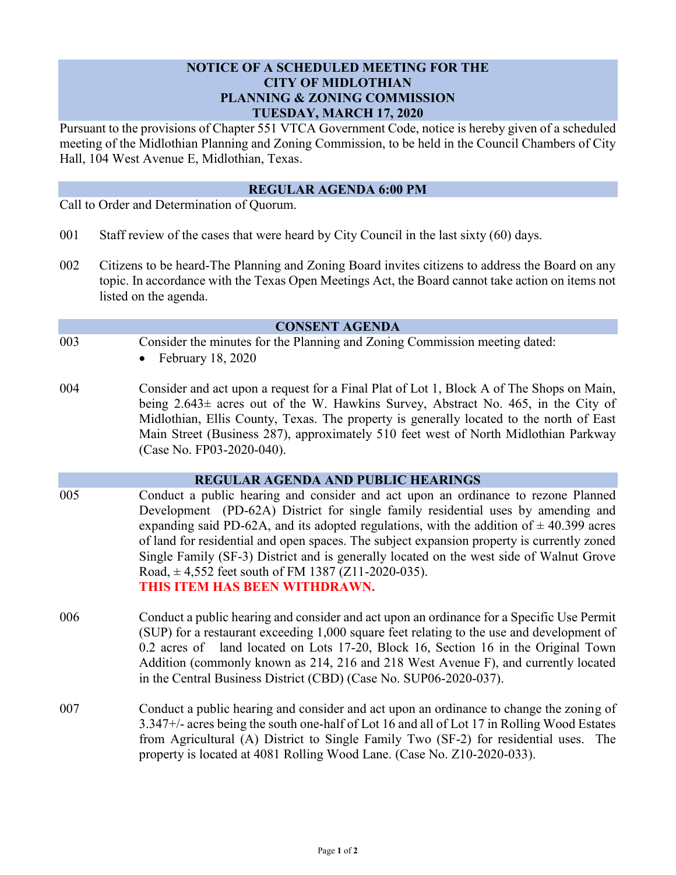# **NOTICE OF A SCHEDULED MEETING FOR THE CITY OF MIDLOTHIAN PLANNING & ZONING COMMISSION TUESDAY, MARCH 17, 2020**

Pursuant to the provisions of Chapter 551 VTCA Government Code, notice is hereby given of a scheduled meeting of the Midlothian Planning and Zoning Commission, to be held in the Council Chambers of City Hall, 104 West Avenue E, Midlothian, Texas.

### **REGULAR AGENDA 6:00 PM**

Call to Order and Determination of Quorum.

- 001 Staff review of the cases that were heard by City Council in the last sixty (60) days.
- 002 Citizens to be heard-The Planning and Zoning Board invites citizens to address the Board on any topic. In accordance with the Texas Open Meetings Act, the Board cannot take action on items not listed on the agenda.

#### **CONSENT AGENDA**

003 Consider the minutes for the Planning and Zoning Commission meeting dated:

 $\bullet$  February 18, 2020

004 Consider and act upon a request for a Final Plat of Lot 1, Block A of The Shops on Main, being 2.643± acres out of the W. Hawkins Survey, Abstract No. 465, in the City of Midlothian, Ellis County, Texas. The property is generally located to the north of East Main Street (Business 287), approximately 510 feet west of North Midlothian Parkway (Case No. FP03-2020-040).

### **REGULAR AGENDA AND PUBLIC HEARINGS**

- 005 Conduct a public hearing and consider and act upon an ordinance to rezone Planned Development (PD-62A) District for single family residential uses by amending and expanding said PD-62A, and its adopted regulations, with the addition of  $\pm$  40.399 acres of land for residential and open spaces. The subject expansion property is currently zoned Single Family (SF-3) District and is generally located on the west side of Walnut Grove Road,  $\pm$  4,552 feet south of FM 1387 (Z11-2020-035). **THIS ITEM HAS BEEN WITHDRAWN.**
- 006 Conduct a public hearing and consider and act upon an ordinance for a Specific Use Permit (SUP) for a restaurant exceeding 1,000 square feet relating to the use and development of 0.2 acres of land located on Lots 17-20, Block 16, Section 16 in the Original Town Addition (commonly known as 214, 216 and 218 West Avenue F), and currently located in the Central Business District (CBD) (Case No. SUP06-2020-037).
- 007 Conduct a public hearing and consider and act upon an ordinance to change the zoning of 3.347+/- acres being the south one-half of Lot 16 and all of Lot 17 in Rolling Wood Estates from Agricultural (A) District to Single Family Two (SF-2) for residential uses. The property is located at 4081 Rolling Wood Lane. (Case No. Z10-2020-033).